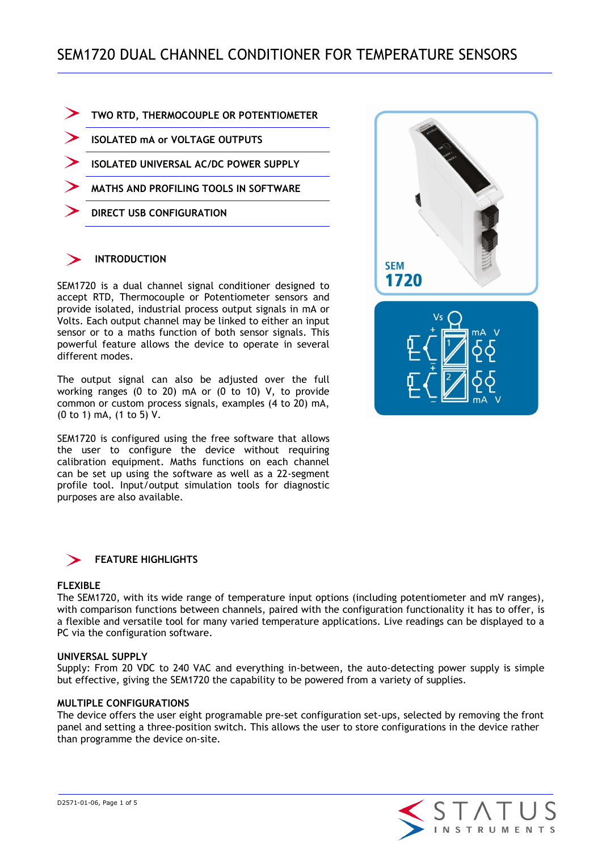| TWO RTD, THERMOCOUPLE OR POTENTIOMETER |
|----------------------------------------|
| <b>ISOLATED mA or VOLTAGE OUTPUTS</b>  |
| ISOLATED UNIVERSAL AC/DC POWER SUPPLY  |
| MATHS AND PROFILING TOOLS IN SOFTWARE  |
| <b>DIRECT USB CONFIGURATION</b>        |

### **INTRODUCTION**

SEM1720 is a dual channel signal conditioner designed to accept RTD, Thermocouple or Potentiometer sensors and provide isolated, industrial process output signals in mA or Volts. Each output channel may be linked to either an input sensor or to a maths function of both sensor signals. This powerful feature allows the device to operate in several different modes.

The output signal can also be adjusted over the full working ranges (0 to 20) mA or (0 to 10) V, to provide common or custom process signals, examples (4 to 20) mA, (0 to 1) mA, (1 to 5) V.

SEM1720 is configured using the free software that allows the user to configure the device without requiring calibration equipment. Maths functions on each channel can be set up using the software as well as a 22-segment profile tool. Input/output simulation tools for diagnostic purposes are also available.



### **FLEXIBLE**

The SEM1720, with its wide range of temperature input options (including potentiometer and mV ranges), with comparison functions between channels, paired with the configuration functionality it has to offer, is a flexible and versatile tool for many varied temperature applications. Live readings can be displayed to a PC via the configuration software.

### **UNIVERSAL SUPPLY**

Supply: From 20 VDC to 240 VAC and everything in-between, the auto-detecting power supply is simple but effective, giving the SEM1720 the capability to be powered from a variety of supplies.

#### **MULTIPLE CONFIGURATIONS**

The device offers the user eight programable pre-set configuration set-ups, selected by removing the front panel and setting a three-position switch. This allows the user to store configurations in the device rather than programme the device on-site.



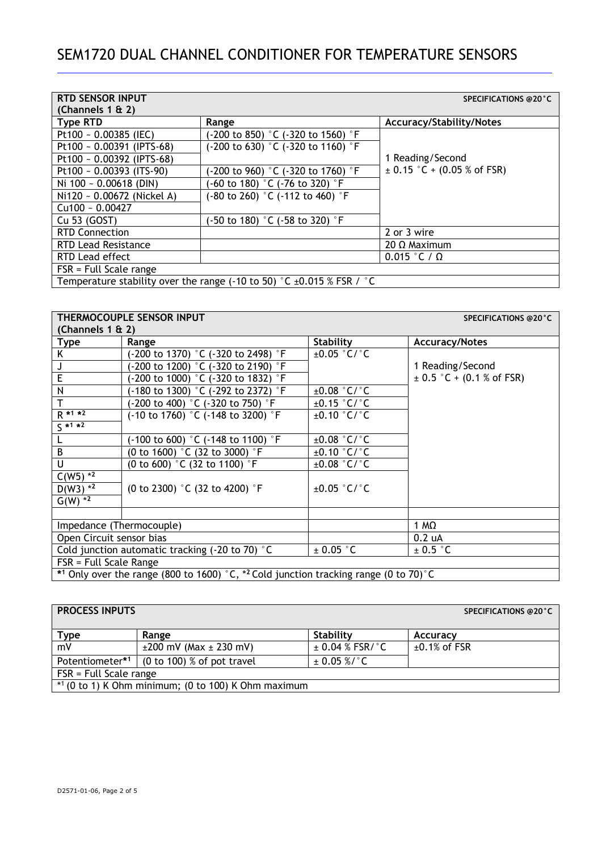# SEM1720 DUAL CHANNEL CONDITIONER FOR TEMPERATURE SENSORS

| <b>RTD SENSOR INPUT</b>    |                                                                            | <b>SPECIFICATIONS @20°C</b>     |
|----------------------------|----------------------------------------------------------------------------|---------------------------------|
| (Channels 1 $\&$ 2)        |                                                                            |                                 |
| <b>Type RTD</b>            | Range                                                                      | <b>Accuracy/Stability/Notes</b> |
| Pt100 ~ $0.00385$ (IEC)    | (-200 to 850) °C (-320 to 1560) °F                                         |                                 |
| Pt100 ~ 0.00391 (IPTS-68)  | (-200 to 630) °C (-320 to 1160) °F                                         |                                 |
| Pt100 ~ 0.00392 (IPTS-68)  |                                                                            | 1 Reading/Second                |
| Pt100 ~ 0.00393 (ITS-90)   | (-200 to 960) °C (-320 to 1760) °F                                         | $\pm$ 0.15 °C + (0.05 % of FSR) |
| Ni 100 ~ $0.00618$ (DIN)   | (-60 to 180) °C (-76 to 320) °F                                            |                                 |
| Ni120 - 0.00672 (Nickel A) | (-80 to 260) °C (-112 to 460) °F                                           |                                 |
| Cu100 $-$ 0.00427          |                                                                            |                                 |
| Cu 53 (GOST)               | $(-50 \text{ to } 180)$ °C ( $-58 \text{ to } 320$ ) °F                    |                                 |
| <b>RTD Connection</b>      |                                                                            | 2 or 3 wire                     |
| RTD Lead Resistance        |                                                                            | $20 \Omega$ Maximum             |
| RTD Lead effect            |                                                                            | $0.015$ °C / $\Omega$           |
| $FSR = Full Scale range$   |                                                                            |                                 |
|                            | Temperature stability over the range (-10 to 50) °C $\pm$ 0.015 % FSR / °C |                                 |

| THERMOCOUPLE SENSOR INPUT                                  |                                                                                                           |                            | <b>SPECIFICATIONS @20°C</b>   |
|------------------------------------------------------------|-----------------------------------------------------------------------------------------------------------|----------------------------|-------------------------------|
| (Channels $1 \& 2$ )                                       |                                                                                                           |                            |                               |
| <b>Type</b>                                                | Range                                                                                                     | Stability                  | <b>Accuracy/Notes</b>         |
| Κ                                                          | (-200 to 1370) °C (-320 to 2498) °F                                                                       | $\pm 0.05$ °C/°C           |                               |
|                                                            | (-200 to 1200) °C (-320 to 2190) °F                                                                       |                            | 1 Reading/Second              |
| E                                                          | (-200 to 1000) °C (-320 to 1832) °F                                                                       |                            | $\pm$ 0.5 °C + (0.1 % of FSR) |
| N                                                          | (-180 to 1300) °C (-292 to 2372) °F                                                                       | $\pm 0.08$ °C/ $\degree$ C |                               |
| $\overline{\mathsf{T}}$                                    | (-200 to 400) °C (-320 to 750) °F                                                                         | $\pm 0.15$ °C/ $\degree$ C |                               |
| $R^{*1*2}$                                                 | $(-10 \text{ to } 1760)$ °C $(-148 \text{ to } 3200)$ °F                                                  | $\pm 0.10$ °C/ $\degree$ C |                               |
| $\sqrt{$1*2}$                                              |                                                                                                           |                            |                               |
|                                                            | $(-100 \text{ to } 600)$ °C $(-148 \text{ to } 1100)$ °F                                                  | $\pm 0.08$ °C/ $\degree$ C |                               |
| B                                                          | (0 to 1600) °C (32 to 3000) °F                                                                            | $\pm 0.10$ °C/°C           |                               |
| U                                                          | (0 to 600) $^{\circ}$ C (32 to 1100) $^{\circ}$ F                                                         | $\pm 0.08$ °C/ $\degree$ C |                               |
| $C(W5)^{1/2}$                                              |                                                                                                           |                            |                               |
| $D(W3)^{1/2}$                                              | (0 to 2300) $^{\circ}$ C (32 to 4200) $^{\circ}$ F                                                        | $\pm 0.05$ °C/ $\degree$ C |                               |
| $G(W)$ <sup><math>\overline{2}</math></sup>                |                                                                                                           |                            |                               |
|                                                            |                                                                                                           |                            |                               |
|                                                            | Impedance (Thermocouple)                                                                                  |                            | 1 MΩ                          |
| Open Circuit sensor bias                                   |                                                                                                           |                            | 0.2 <sub>u</sub>              |
| Cold junction automatic tracking $(-20 \text{ to } 70)$ °C |                                                                                                           | $\pm$ 0.05 $\degree$ C     | $\pm$ 0.5 $\degree$ C         |
| $FSR = Full Scale Range$                                   |                                                                                                           |                            |                               |
|                                                            | *1 Only over the range (800 to 1600) $^{\circ}$ C, *2 Cold junction tracking range (0 to 70) $^{\circ}$ C |                            |                               |

| <b>PROCESS INPUTS</b>                                 |                                 |                      | <b>SPECIFICATIONS @20°C</b> |
|-------------------------------------------------------|---------------------------------|----------------------|-----------------------------|
| <b>Type</b>                                           | Range                           | <b>Stability</b>     | <b>Accuracy</b>             |
| mV                                                    | $\pm 200$ mV (Max $\pm 230$ mV) | $\pm$ 0.04 % FSR/ °C | $\pm 0.1\%$ of FSR          |
| Potentiometer*1                                       | $(0 to 100)$ % of pot travel    | $\pm$ 0.05 %/°C      |                             |
| $FSR = Full Scale range$                              |                                 |                      |                             |
| $*1$ (0 to 1) K Ohm minimum; (0 to 100) K Ohm maximum |                                 |                      |                             |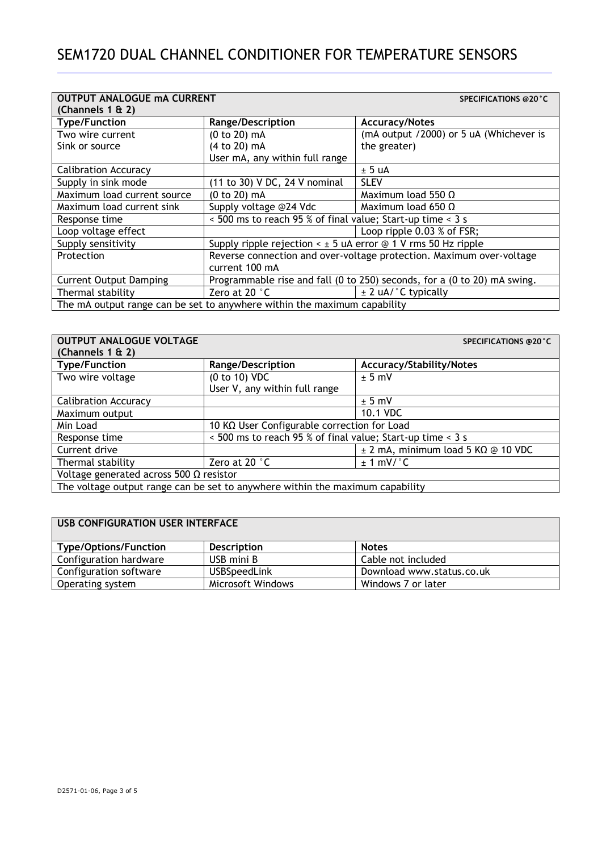| <b>OUTPUT ANALOGUE MA CURRENT</b><br><b>SPECIFICATIONS @20°C</b>         |                                                                      |                                                                          |
|--------------------------------------------------------------------------|----------------------------------------------------------------------|--------------------------------------------------------------------------|
| (Channels $1 \& 2$ )                                                     |                                                                      |                                                                          |
| <b>Type/Function</b>                                                     | <b>Range/Description</b>                                             | <b>Accuracy/Notes</b>                                                    |
| Two wire current                                                         | (0 to 20) mA                                                         | (mA output /2000) or 5 uA (Whichever is                                  |
| Sink or source                                                           | (4 to 20) mA                                                         | the greater)                                                             |
|                                                                          | User mA, any within full range                                       |                                                                          |
| <b>Calibration Accuracy</b>                                              |                                                                      | ± 5 uA                                                                   |
| Supply in sink mode                                                      | (11 to 30) V DC, 24 V nominal                                        | <b>SLEV</b>                                                              |
| Maximum load current source                                              | (0 to 20) mA                                                         | Maximum load 550 $\Omega$                                                |
| Maximum load current sink                                                | Supply voltage @24 Vdc                                               | Maximum load 650 $\Omega$                                                |
| Response time                                                            | < 500 ms to reach 95 % of final value; Start-up time < 3 s           |                                                                          |
| Loop voltage effect                                                      |                                                                      | Loop ripple 0.03 % of FSR;                                               |
| Supply sensitivity                                                       | Supply ripple rejection $\leq \pm 5$ uA error @ 1 V rms 50 Hz ripple |                                                                          |
| Protection                                                               |                                                                      | Reverse connection and over-voltage protection. Maximum over-voltage     |
|                                                                          | current 100 mA                                                       |                                                                          |
| <b>Current Output Damping</b>                                            |                                                                      | Programmable rise and fall (0 to 250) seconds, for a (0 to 20) mA swing. |
| Thermal stability                                                        | Zero at 20 °C                                                        | $\pm$ 2 uA/ $\degree$ C typically                                        |
| The mA output range can be set to anywhere within the maximum capability |                                                                      |                                                                          |

| <b>OUTPUT ANALOGUE VOLTAGE</b>                                                |                                                            | <b>SPECIFICATIONS @20°C</b>                    |
|-------------------------------------------------------------------------------|------------------------------------------------------------|------------------------------------------------|
| (Channels $1 \& 2$ )                                                          |                                                            |                                                |
| <b>Type/Function</b>                                                          | <b>Range/Description</b>                                   | <b>Accuracy/Stability/Notes</b>                |
| Two wire voltage                                                              | (0 to 10) VDC                                              | $± 5$ mV                                       |
|                                                                               | User V, any within full range                              |                                                |
| <b>Calibration Accuracy</b>                                                   |                                                            | ± 5 mV                                         |
| Maximum output                                                                |                                                            | 10.1 VDC                                       |
| Min Load                                                                      | 10 KΩ User Configurable correction for Load                |                                                |
| Response time                                                                 | < 500 ms to reach 95 % of final value; Start-up time < 3 s |                                                |
| Current drive                                                                 |                                                            | $\pm$ 2 mA, minimum load 5 K $\Omega$ @ 10 VDC |
| Thermal stability                                                             | Zero at 20 °C                                              | $± 1$ mV/ $°C$                                 |
| Voltage generated across 500 $\Omega$ resistor                                |                                                            |                                                |
| The voltage output range can be set to anywhere within the maximum capability |                                                            |                                                |

### **USB CONFIGURATION USER INTERFACE**

| <b>Type/Options/Function</b> | <b>Description</b>  | <b>Notes</b>              |
|------------------------------|---------------------|---------------------------|
| Configuration hardware       | USB mini B          | Cable not included        |
| Configuration software       | <b>USBSpeedLink</b> | Download www.status.co.uk |
| Operating system             | Microsoft Windows   | Windows 7 or later        |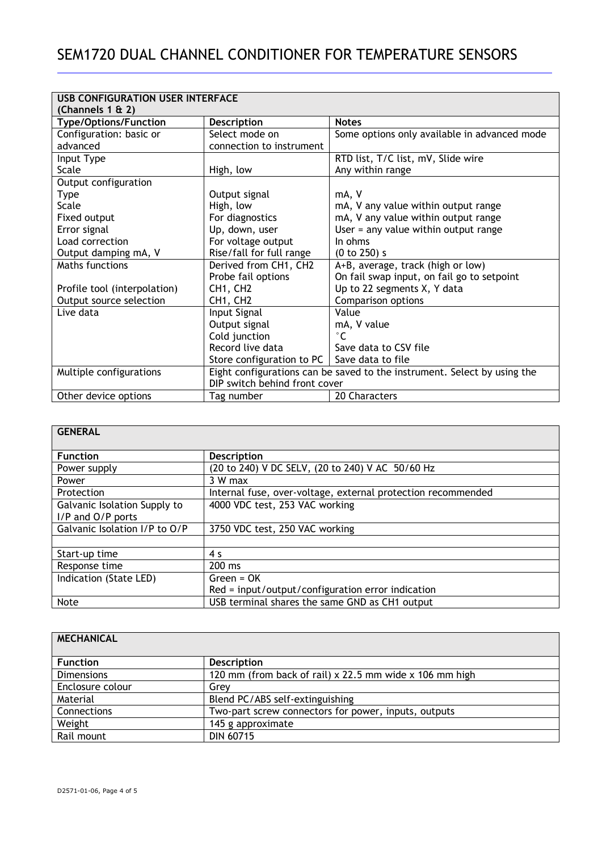| <b>USB CONFIGURATION USER INTERFACE</b> |                               |                                                                          |
|-----------------------------------------|-------------------------------|--------------------------------------------------------------------------|
| (Channels 1 & 2)                        |                               |                                                                          |
| <b>Type/Options/Function</b>            | <b>Description</b>            | <b>Notes</b>                                                             |
| Configuration: basic or                 | Select mode on                | Some options only available in advanced mode                             |
| advanced                                | connection to instrument      |                                                                          |
| Input Type                              |                               | RTD list, T/C list, mV, Slide wire                                       |
| Scale                                   | High, low                     | Any within range                                                         |
| Output configuration                    |                               |                                                                          |
| Type                                    | Output signal                 | mA, V                                                                    |
| Scale                                   | High, low                     | mA, V any value within output range                                      |
| Fixed output                            | For diagnostics               | mA, V any value within output range                                      |
| Error signal                            | Up, down, user                | User $=$ any value within output range                                   |
| Load correction                         | For voltage output            | In ohms                                                                  |
| Output damping mA, V                    | Rise/fall for full range      | (0 to 250) s                                                             |
| Maths functions                         | Derived from CH1, CH2         | A+B, average, track (high or low)                                        |
|                                         | Probe fail options            | On fail swap input, on fail go to setpoint                               |
| Profile tool (interpolation)            | CH1, CH2                      | Up to 22 segments X, Y data                                              |
| Output source selection                 | CH1, CH2                      | Comparison options                                                       |
| Live data                               | Input Signal                  | Value                                                                    |
|                                         | Output signal                 | mA, V value                                                              |
|                                         | Cold junction                 | $^{\circ}$ C                                                             |
|                                         | Record live data              | Save data to CSV file                                                    |
|                                         | Store configuration to PC     | Save data to file                                                        |
| Multiple configurations                 |                               | Eight configurations can be saved to the instrument. Select by using the |
|                                         | DIP switch behind front cover |                                                                          |
| Other device options                    | Tag number                    | 20 Characters                                                            |

| <b>GENERAL</b>                |                                                              |
|-------------------------------|--------------------------------------------------------------|
| <b>Function</b>               | <b>Description</b>                                           |
| Power supply                  | (20 to 240) V DC SELV, (20 to 240) V AC 50/60 Hz             |
| Power                         | 3 W max                                                      |
| Protection                    | Internal fuse, over-voltage, external protection recommended |
| Galvanic Isolation Supply to  | 4000 VDC test, 253 VAC working                               |
| I/P and O/P ports             |                                                              |
| Galvanic Isolation I/P to O/P | 3750 VDC test, 250 VAC working                               |
|                               |                                                              |
| Start-up time                 | 4 s                                                          |
| Response time                 | $200$ ms                                                     |
| Indication (State LED)        | $Green = OK$                                                 |
|                               | $Red = input/output/configuration$ error indication          |
| Note                          | USB terminal shares the same GND as CH1 output               |

| <b>MECHANICAL</b> |                                                         |
|-------------------|---------------------------------------------------------|
|                   |                                                         |
| <b>Function</b>   | <b>Description</b>                                      |
| <b>Dimensions</b> | 120 mm (from back of rail) x 22.5 mm wide x 106 mm high |
| Enclosure colour  | Grev                                                    |
| Material          | Blend PC/ABS self-extinguishing                         |
| Connections       | Two-part screw connectors for power, inputs, outputs    |
| Weight            | 145 g approximate                                       |
| Rail mount        | DIN 60715                                               |